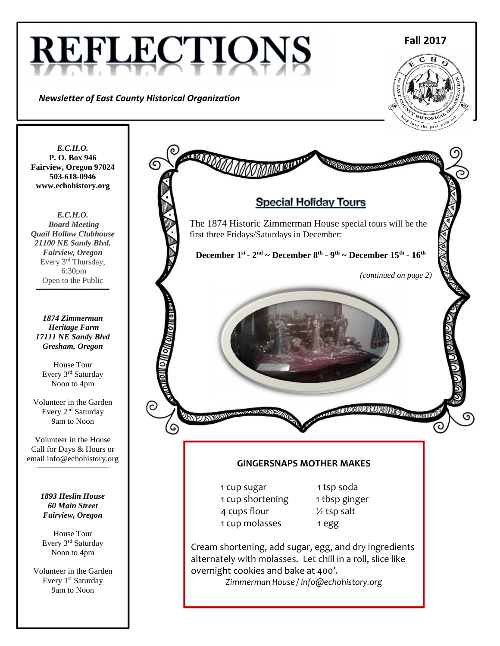# REFLECTIOI

*Newsletter of East County Historical Organization* 

**Fall 2017**



*E.C.H.O.*  **P. O. Box 946 Fairview, Oregon 97024 503-618-0946 www.echohistory.org** 

*E.C.H.O. Board Meeting Quail Hollow Clubhouse 21100 NE Sandy Blvd. Fairview, Oregon*  Every 3<sup>rd</sup> Thursday, 6:30pm Open to the Public **\_\_\_\_\_\_\_\_\_\_\_\_\_\_\_\_\_\_\_\_\_\_\_\_\_\_\_\_\_\_\_\_\_\_\_\_** 

*1874 Zimmerman Heritage Farm 17111 NE Sandy Blvd Gresham, Oregon* 

House Tour Every 3rd Saturday Noon to 4pm

Volunteer in the Garden Every 2nd Saturday 9am to Noon

Volunteer in the House Call for Days & Hours or email info@echohistory.org

**\_\_\_\_\_\_\_\_\_\_\_\_\_\_\_\_\_\_\_\_\_\_\_\_\_\_\_\_\_\_\_\_\_\_\_** 

*1893 Heslin House 60 Main Street Fairview, Oregon* 

House Tour Every 3rd Saturday Noon to 4pm

Volunteer in the Garden Every 1<sup>st</sup> Saturday 9am to Noon

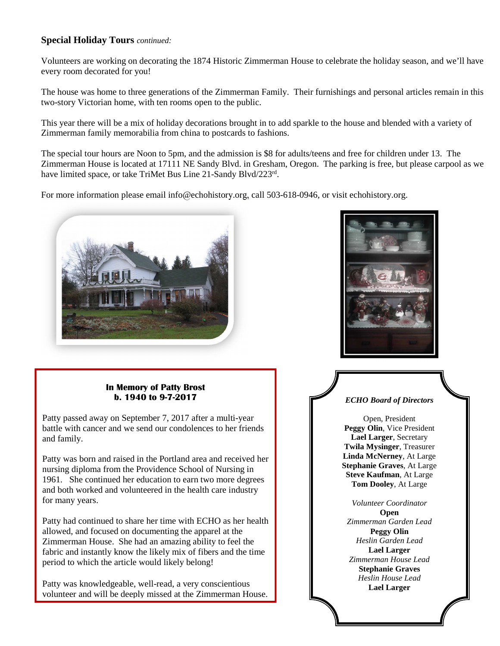#### **Special Holiday Tours** *continued:*

Volunteers are working on decorating the 1874 Historic Zimmerman House to celebrate the holiday season, and we'll have every room decorated for you!

The house was home to three generations of the Zimmerman Family. Their furnishings and personal articles remain in this two-story Victorian home, with ten rooms open to the public.

This year there will be a mix of holiday decorations brought in to add sparkle to the house and blended with a variety of Zimmerman family memorabilia from china to postcards to fashions.

The special tour hours are Noon to 5pm, and the admission is \$8 for adults/teens and free for children under 13. The Zimmerman House is located at 17111 NE Sandy Blvd. in Gresham, Oregon. The parking is free, but please carpool as we have limited space, or take TriMet Bus Line 21-Sandy Blvd/223rd.

For more information please email info@echohistory.org, call 503-618-0946, or visit echohistory.org.



#### **In Memory of Patty Brost b. 1940 to 9-7-2017**

Patty passed away on September 7, 2017 after a multi-year battle with cancer and we send our condolences to her friends and family.

Patty was born and raised in the Portland area and received her nursing diploma from the Providence School of Nursing in 1961. She continued her education to earn two more degrees and both worked and volunteered in the health care industry for many years.

Patty had continued to share her time with ECHO as her health allowed, and focused on documenting the apparel at the Zimmerman House. She had an amazing ability to feel the fabric and instantly know the likely mix of fibers and the time period to which the article would likely belong!

Patty was knowledgeable, well-read, a very conscientious volunteer and will be deeply missed at the Zimmerman House.



#### *ECHO Board of Directors*

Open, President **Peggy Olin**, Vice President **Lael Larger**, Secretary **Twila Mysinger**, Treasurer **Linda McNerney**, At Large **Stephanie Graves**, At Large **Steve Kaufman**, At Large **Tom Dooley**, At Large

*Volunteer Coordinator*  **Open**  *Zimmerman Garden Lead* **Peggy Olin**  *Heslin Garden Lead* **Lael Larger**  *Zimmerman House Lead*  **Stephanie Graves**  *Heslin House Lead*  **Lael Larger**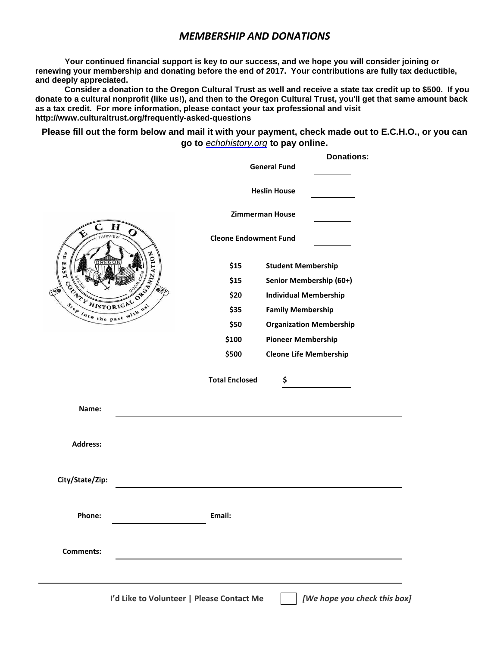#### *MEMBERSHIP AND DONATIONS*

**Your continued financial support is key to our success, and we hope you will consider joining or renewing your membership and donating before the end of 2017. Your contributions are fully tax deductible, and deeply appreciated.**

**Consider a donation to the Oregon Cultural Trust as well and receive a state tax credit up to \$500. If you donate to a cultural nonprofit (like us!), and then to the Oregon Cultural Trust, you'll get that same amount back as a tax credit. For more information, please contact your tax professional and visit http://www.culturaltrust.org/frequently-asked-questions** 

**Please fill out the form below and mail it with your payment, check made out to E.C.H.O., or you can go to** echohistory.org **to pay online.** 

|                                                                                                                                                               |                                           | <b>Donations:</b><br><b>General Fund</b> |
|---------------------------------------------------------------------------------------------------------------------------------------------------------------|-------------------------------------------|------------------------------------------|
|                                                                                                                                                               |                                           | <b>Heslin House</b>                      |
| $\boldsymbol{H}$<br>C.<br>AIRVIEW<br>ATION<br>å<br>EAST<br>OCHALL HISTORICAL OF ST<br>$\begin{array}{c}\n\delta_{\ell e \rho} \\ \hline\n\end{array}$<br>with |                                           | <b>Zimmerman House</b>                   |
|                                                                                                                                                               | <b>Cleone Endowment Fund</b>              |                                          |
|                                                                                                                                                               | \$15                                      | <b>Student Membership</b>                |
|                                                                                                                                                               | \$15                                      | Senior Membership (60+)                  |
|                                                                                                                                                               | \$20                                      | <b>Individual Membership</b>             |
|                                                                                                                                                               | \$35                                      | <b>Family Membership</b>                 |
|                                                                                                                                                               | \$50                                      | <b>Organization Membership</b>           |
|                                                                                                                                                               | \$100                                     | <b>Pioneer Membership</b>                |
|                                                                                                                                                               | \$500                                     | <b>Cleone Life Membership</b>            |
|                                                                                                                                                               | <b>Total Enclosed</b>                     | \$                                       |
| Name:                                                                                                                                                         |                                           |                                          |
| <b>Address:</b>                                                                                                                                               |                                           |                                          |
| City/State/Zip:                                                                                                                                               |                                           |                                          |
| Phone:                                                                                                                                                        | Email:                                    |                                          |
| <b>Comments:</b>                                                                                                                                              |                                           |                                          |
|                                                                                                                                                               | I'd Like to Volunteer   Please Contact Me | [We hope you check this box]             |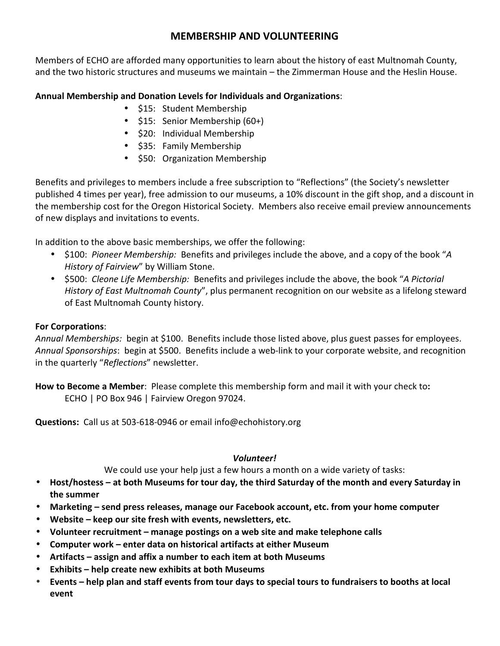## **MEMBERSHIP AND VOLUNTEERING**

Members of ECHO are afforded many opportunities to learn about the history of east Multnomah County, and the two historic structures and museums we maintain – the Zimmerman House and the Heslin House.

### **Annual Membership and Donation Levels for Individuals and Organizations**:

- \$15: Student Membership
- \$15: Senior Membership (60+)
- \$20: Individual Membership
- \$35: Family Membership
- \$50: Organization Membership

Benefits and privileges to members include a free subscription to "Reflections" (the Society's newsletter published 4 times per year), free admission to our museums, a 10% discount in the gift shop, and a discount in the membership cost for the Oregon Historical Society. Members also receive email preview announcements of new displays and invitations to events.

In addition to the above basic memberships, we offer the following:

- \$100: *Pioneer Membership:* Benefits and privileges include the above, and a copy of the book "*A History of Fairview*" by William Stone.
- \$500: *Cleone Life Membership:* Benefits and privileges include the above, the book "*A Pictorial History of East Multnomah County*", plus permanent recognition on our website as a lifelong steward of East Multnomah County history.

#### **For Corporations**:

*Annual Memberships:* begin at \$100. Benefits include those listed above, plus guest passes for employees. *Annual Sponsorships*: begin at \$500. Benefits include a web-link to your corporate website, and recognition in the quarterly "*Reflections*" newsletter.

**How to Become a Member**: Please complete this membership form and mail it with your check to**:**  ECHO | PO Box 946 | Fairview Oregon 97024.

**Questions:** Call us at 503-618-0946 or email info@echohistory.org

#### *Volunteer!*

We could use your help just a few hours a month on a wide variety of tasks:

- **Host/hostess at both Museums for tour day, the third Saturday of the month and every Saturday in the summer**
- **Marketing send press releases, manage our Facebook account, etc. from your home computer**
- **Website keep our site fresh with events, newsletters, etc.**
- **Volunteer recruitment manage postings on a web site and make telephone calls**
- **Computer work enter data on historical artifacts at either Museum**
- **Artifacts assign and affix a number to each item at both Museums**
- **Exhibits help create new exhibits at both Museums**
- **Events help plan and staff events from tour days to special tours to fundraisers to booths at local event**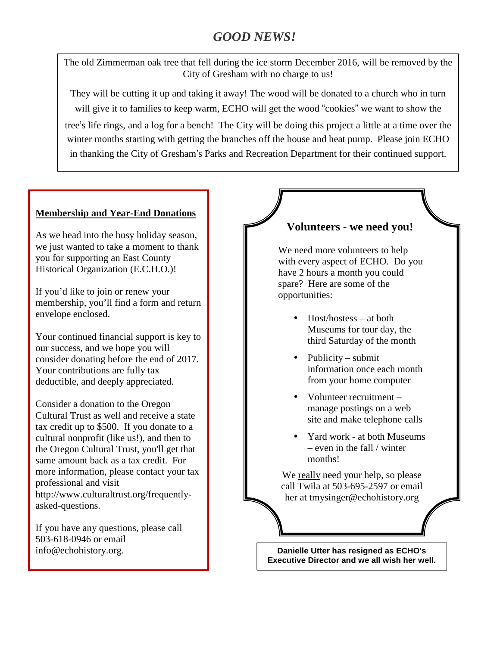# *GOOD NEWS!*

The old Zimmerman oak tree that fell during the ice storm December 2016, will be removed by the City of Gresham with no charge to us!

They will be cutting it up and taking it away! The wood will be donated to a church who in turn will give it to families to keep warm, ECHO will get the wood "cookies" we want to show the tree's life rings, and a log for a bench! The City will be doing this project a little at a time over the winter months starting with getting the branches off the house and heat pump. Please join ECHO in thanking the City of Gresham's Parks and Recreation Department for their continued support.

#### **Membership and Year-End Donations**

As we head into the busy holiday season, we just wanted to take a moment to thank you for supporting an East County Historical Organization (E.C.H.O.)!

If you'd like to join or renew your membership, you'll find a form and return envelope enclosed.

Your continued financial support is key to our success, and we hope you will consider donating before the end of 2017. Your contributions are fully tax deductible, and deeply appreciated.

Consider a donation to the Oregon Cultural Trust as well and receive a state tax credit up to \$500. If you donate to a cultural nonprofit (like us!), and then to the Oregon Cultural Trust, you'll get that same amount back as a tax credit. For more information, please contact your tax professional and visit http://www.culturaltrust.org/frequentlyasked-questions.

If you have any questions, please call 503-618-0946 or email info@echohistory.org.

## **Volunteers - we need you!**

We need more volunteers to help with every aspect of ECHO. Do you have 2 hours a month you could spare? Here are some of the opportunities:

- Host/hostess at both Museums for tour day, the third Saturday of the month
- Publicity submit information once each month from your home computer
- Volunteer recruitment manage postings on a web site and make telephone calls
- Yard work at both Museums – even in the fall / winter months!

We really need your help, so please call Twila at 503-695-2597 or email her at tmysinger@echohistory.org

**Danielle Utter has resigned as ECHO's Executive Director and we all wish her well.**